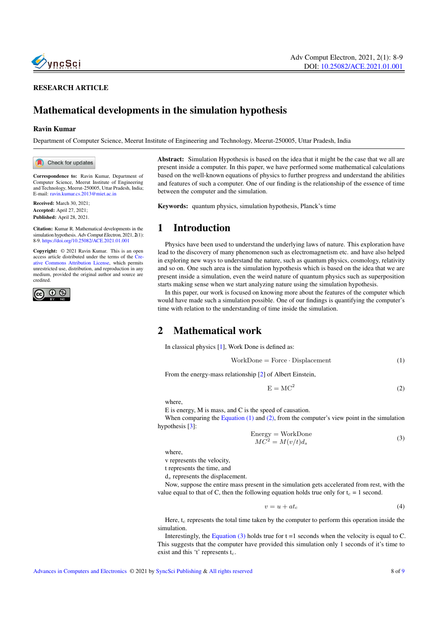

#### RESEARCH ARTICLE

# Mathematical developments in the simulation hypothesis

#### Ravin Kumar

Department of Computer Science, Meerut Institute of Engineering and Technology, Meerut-250005, Uttar Pradesh, India

Check for updates

Correspondence to: Ravin Kumar, Department of Computer Science, Meerut Institute of Engineering and Technology, Meerut-250005, Uttar Pradesh, India; E-mail: <ravin.kumar.cs.2013@miet.ac.in>

Received: March 30, 2021; Accepted: April 27, 2021; Published: April 28, 2021.

Citation: Kumar R. Mathematical developments in the simulation hypothesis. Adv Comput Electron, 2021, 2(1): 8-9. <https://doi.org/10.25082/ACE.2021.01.001>

Copyright: © 2021 Ravin Kumar. This is an open access article distributed under the terms of the [Cre](https://creativecommons.org/licenses/by/4.0/)[ative Commons Attribution License,](https://creativecommons.org/licenses/by/4.0/) which permits unrestricted use, distribution, and reproduction in any medium, provided the original author and source are credited.



Abstract: Simulation Hypothesis is based on the idea that it might be the case that we all are present inside a computer. In this paper, we have performed some mathematical calculations based on the well-known equations of physics to further progress and understand the abilities and features of such a computer. One of our finding is the relationship of the essence of time between the computer and the simulation.

Keywords: quantum physics, simulation hypothesis, Planck's time

### 1 Introduction

Physics have been used to understand the underlying laws of nature. This exploration have lead to the discovery of many phenomenon such as electromagnetism etc. and have also helped in exploring new ways to understand the nature, such as quantum physics, cosmology, relativity and so on. One such area is the simulation hypothesis which is based on the idea that we are present inside a simulation, even the weird nature of quantum physics such as superposition starts making sense when we start analyzing nature using the simulation hypothesis.

In this paper, our work is focused on knowing more about the features of the computer which would have made such a simulation possible. One of our findings is quantifying the computer's time with relation to the understanding of time inside the simulation.

## 2 Mathematical work

In classical physics [\[1\]](#page-1-0), Work Done is defined as:

<span id="page-0-0"></span>
$$
WorkDone = Force \cdot Displacement
$$
 (1)

From the energy-mass relationship [\[2\]](#page-1-1) of Albert Einstein,

<span id="page-0-1"></span>
$$
E = MC^2 \tag{2}
$$

where,

E is energy, M is mass, and C is the speed of causation.

When comparing the [Equation \(1\)](#page-0-0) and [\(2\),](#page-0-1) from the computer's view point in the simulation hypothesis [\[3\]](#page-1-2):

<span id="page-0-2"></span>Energy = WorkDone  
\n
$$
MC^2 = M(v/t)d_s
$$
\n(3)

where,

v represents the velocity,

t represents the time, and

 $d_s$  represents the displacement.

Now, suppose the entire mass present in the simulation gets accelerated from rest, with the value equal to that of C, then the following equation holds true only for  $t_c = 1$  second.

$$
v = u + at_c \tag{4}
$$

Here,  $t_c$  represents the total time taken by the computer to perform this operation inside the simulation.

Interestingly, the [Equation \(3\)](#page-0-2) holds true for  $t = 1$  seconds when the velocity is equal to C. This suggests that the computer have provided this simulation only 1 seconds of it's time to exist and this 't' represents  $t_c$ .